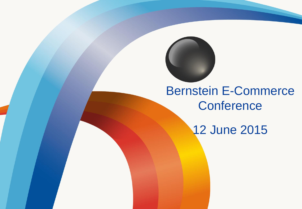

## Bernstein E-Commerce **Conference**

12 June 2015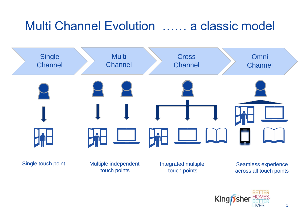# Multi Channel Evolution …… a classic model



touch points

Integrated multiple touch points

Seamless experience across all touch points

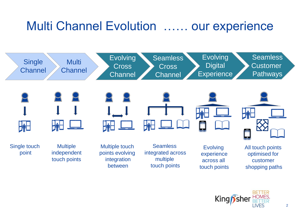## Multi Channel Evolution …… our experience



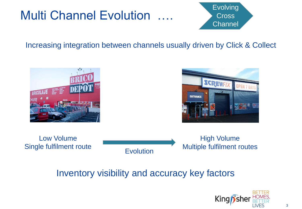# **Multi Channel Evolution**



#### Increasing integration between channels usually driven by Click & Collect





Low Volume Single fulfilment route High Volume Multiple fulfilment routes **Evolution** 

#### Inventory visibility and accuracy key factors

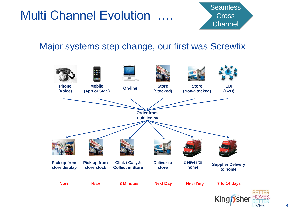# **Multi Channel Evolution**



#### Major systems step change, our first was Screwfix



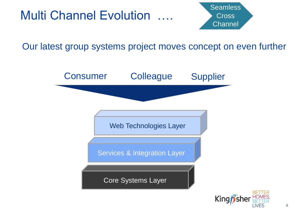



Our latest group systems project moves concept on even further

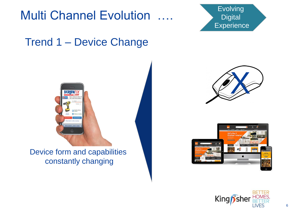

### Trend 1 – Device Change



Device form and capabilities constantly changing







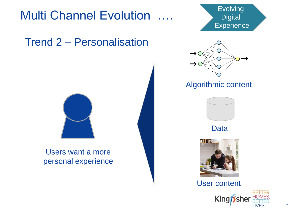# Multi Channel Evolution …. Sevelving

## Trend 2 – Personalisation



#### Users want a more personal experience





#### Algorithmic content



Data



User content